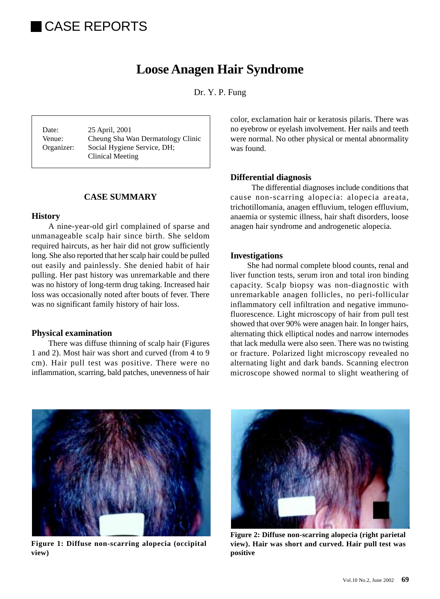# CASE REPORTS

# **Loose Anagen Hair Syndrome**

Dr. Y. P. Fung

Date: 25 April, 2001 Venue: Cheung Sha Wan Dermatology Clinic Organizer: Social Hygiene Service, DH; Clinical Meeting

# **CASE SUMMARY**

# **History**

A nine-year-old girl complained of sparse and unmanageable scalp hair since birth. She seldom required haircuts, as her hair did not grow sufficiently long. She also reported that her scalp hair could be pulled out easily and painlessly. She denied habit of hair pulling. Her past history was unremarkable and there was no history of long-term drug taking. Increased hair loss was occasionally noted after bouts of fever. There was no significant family history of hair loss.

#### **Physical examination**

There was diffuse thinning of scalp hair (Figures 1 and 2). Most hair was short and curved (from 4 to 9 cm). Hair pull test was positive. There were no inflammation, scarring, bald patches, unevenness of hair

color, exclamation hair or keratosis pilaris. There was no eyebrow or eyelash involvement. Her nails and teeth were normal. No other physical or mental abnormality was found.

#### **Differential diagnosis**

The differential diagnoses include conditions that cause non-scarring alopecia: alopecia areata, trichotillomania, anagen effluvium, telogen effluvium, anaemia or systemic illness, hair shaft disorders, loose anagen hair syndrome and androgenetic alopecia.

#### **Investigations**

She had normal complete blood counts, renal and liver function tests, serum iron and total iron binding capacity. Scalp biopsy was non-diagnostic with unremarkable anagen follicles, no peri-follicular inflammatory cell infiltration and negative immunofluorescence. Light microscopy of hair from pull test showed that over 90% were anagen hair. In longer hairs, alternating thick elliptical nodes and narrow internodes that lack medulla were also seen. There was no twisting or fracture. Polarized light microscopy revealed no alternating light and dark bands. Scanning electron microscope showed normal to slight weathering of



**Figure 1: Diffuse non-scarring alopecia (occipital view)**



**Figure 2: Diffuse non-scarring alopecia (right parietal view). Hair was short and curved. Hair pull test was positive**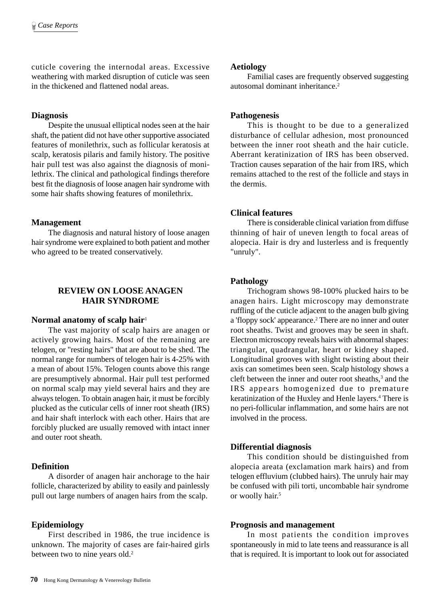cuticle covering the internodal areas. Excessive weathering with marked disruption of cuticle was seen in the thickened and flattened nodal areas.

# **Diagnosis**

Despite the unusual elliptical nodes seen at the hair shaft, the patient did not have other supportive associated features of monilethrix, such as follicular keratosis at scalp, keratosis pilaris and family history. The positive hair pull test was also against the diagnosis of monilethrix. The clinical and pathological findings therefore best fit the diagnosis of loose anagen hair syndrome with some hair shafts showing features of monilethrix.

# **Management**

The diagnosis and natural history of loose anagen hair syndrome were explained to both patient and mother who agreed to be treated conservatively.

# **REVIEW ON LOOSE ANAGEN HAIR SYNDROME**

# **Normal anatomy of scalp hair**<sup>1</sup>

The vast majority of scalp hairs are anagen or actively growing hairs. Most of the remaining are telogen, or "resting hairs" that are about to be shed. The normal range for numbers of telogen hair is 4-25% with a mean of about 15%. Telogen counts above this range are presumptively abnormal. Hair pull test performed on normal scalp may yield several hairs and they are always telogen. To obtain anagen hair, it must be forcibly plucked as the cuticular cells of inner root sheath (IRS) and hair shaft interlock with each other. Hairs that are forcibly plucked are usually removed with intact inner and outer root sheath.

# **Definition**

A disorder of anagen hair anchorage to the hair follicle, characterized by ability to easily and painlessly pull out large numbers of anagen hairs from the scalp.

# **Epidemiology**

First described in 1986, the true incidence is unknown. The majority of cases are fair-haired girls between two to nine years old.<sup>2</sup>

#### **Aetiology**

Familial cases are frequently observed suggesting autosomal dominant inheritance.2

# **Pathogenesis**

This is thought to be due to a generalized disturbance of cellular adhesion, most pronounced between the inner root sheath and the hair cuticle. Aberrant keratinization of IRS has been observed. Traction causes separation of the hair from IRS, which remains attached to the rest of the follicle and stays in the dermis.

# **Clinical features**

There is considerable clinical variation from diffuse thinning of hair of uneven length to focal areas of alopecia. Hair is dry and lusterless and is frequently "unruly".

# **Pathology**

Trichogram shows 98-100% plucked hairs to be anagen hairs. Light microscopy may demonstrate ruffling of the cuticle adjacent to the anagen bulb giving a 'floppy sock' appearance.<sup>2</sup> There are no inner and outer root sheaths. Twist and grooves may be seen in shaft. Electron microscopy reveals hairs with abnormal shapes: triangular, quadrangular, heart or kidney shaped. Longitudinal grooves with slight twisting about their axis can sometimes been seen. Scalp histology shows a cleft between the inner and outer root sheaths,<sup>3</sup> and the IRS appears homogenized due to premature keratinization of the Huxley and Henle layers.<sup>4</sup> There is no peri-follicular inflammation, and some hairs are not involved in the process.

#### **Differential diagnosis**

This condition should be distinguished from alopecia areata (exclamation mark hairs) and from telogen effluvium (clubbed hairs). The unruly hair may be confused with pili torti, uncombable hair syndrome or woolly hair.<sup>5</sup>

# **Prognosis and management**

In most patients the condition improves spontaneously in mid to late teens and reassurance is all that is required. It is important to look out for associated